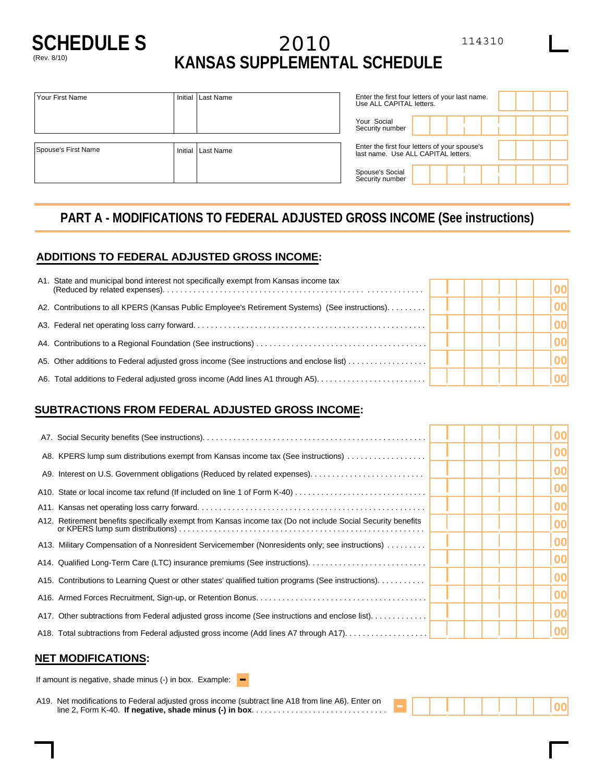

# **SCHEDULE S** 2010 <sup>114310</sup> (Rev. 8/10) **KANSAS SUPPLEMENTAL SCHEDULE**

|                                                    | Your Social<br>Security number                                                       |  |
|----------------------------------------------------|--------------------------------------------------------------------------------------|--|
|                                                    |                                                                                      |  |
| Spouse's First Name<br>Initial<br><b>Last Name</b> | Enter the first four letters of your spouse's<br>last name. Use ALL CAPITAL letters. |  |
|                                                    | Spouse's Social<br>Security number                                                   |  |

# **PART A - MODIFICATIONS TO FEDERAL ADJUSTED GROSS INCOME (See instructions)**

## **ADDITIONS TO FEDERAL ADJUSTED GROSS INCOME:**

| A1. State and municipal bond interest not specifically exempt from Kansas income tax            |  |  |  |
|-------------------------------------------------------------------------------------------------|--|--|--|
| A2. Contributions to all KPERS (Kansas Public Employee's Retirement Systems) (See instructions) |  |  |  |
|                                                                                                 |  |  |  |
|                                                                                                 |  |  |  |
| A5. Other additions to Federal adjusted gross income (See instructions and enclose list)        |  |  |  |
| A6. Total additions to Federal adjusted gross income (Add lines A1 through A5)                  |  |  |  |

### **SUBTRACTIONS FROM FEDERAL ADJUSTED GROSS INCOME:**

|                                                                                                              |  | 00 |
|--------------------------------------------------------------------------------------------------------------|--|----|
| A8. KPERS lump sum distributions exempt from Kansas income tax (See instructions)                            |  | 00 |
|                                                                                                              |  | 00 |
|                                                                                                              |  | 00 |
|                                                                                                              |  | 00 |
| A12. Retirement benefits specifically exempt from Kansas income tax (Do not include Social Security benefits |  | 00 |
| A13. Military Compensation of a Nonresident Servicemember (Nonresidents only; see instructions)              |  | 00 |
|                                                                                                              |  | 00 |
| A15. Contributions to Learning Quest or other states' qualified tuition programs (See instructions).         |  | 00 |
|                                                                                                              |  | 00 |
| A17. Other subtractions from Federal adjusted gross income (See instructions and enclose list).              |  | 00 |
| A18. Total subtractions from Federal adjusted gross income (Add lines A7 through A17)                        |  | 00 |
|                                                                                                              |  |    |

#### **NET MODIFICATIONS:**

| If amount is negative, shade minus (-) in box. Example: $\blacksquare$ |  |
|------------------------------------------------------------------------|--|
|                                                                        |  |

A19. Net modifications to Federal adjusted gross income (subtract line A18 from line A6). Enter on line 2, Form K-40. **If negative, shade minus (-) in box**............................... - **<sup>00</sup>**

,, .